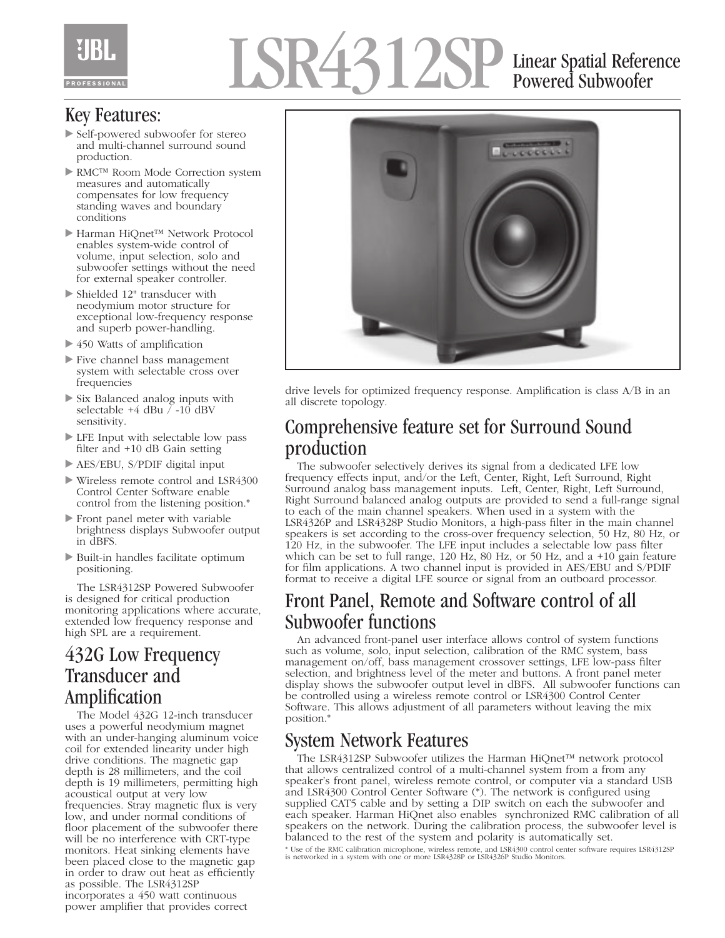# LSR4312SP Linear Spatial Reference Powered Subwoofer

#### Key Features:

- Self-powered subwoofer for stereo and multi-channel surround sound production.
- ▶ RMC™ Room Mode Correction system measures and automatically compensates for low frequency standing waves and boundary conditions
- Harman HiQnet™ Network Protocol enables system-wide control of volume, input selection, solo and subwoofer settings without the need for external speaker controller.
- Shielded 12" transducer with neodymium motor structure for exceptional low-frequency response and superb power-handling.
- ▶ 450 Watts of amplification
- Five channel bass management system with selectable cross over frequencies
- Six Balanced analog inputs with selectable  $+4$  dBu  $\overline{}/-10$  dBV sensitivity.
- LFE Input with selectable low pass filter and +10 dB Gain setting
- AES/EBU, S/PDIF digital input
- Wireless remote control and LSR4300 Control Center Software enable control from the listening position.\*
- Front panel meter with variable brightness displays Subwoofer output in dBFS.
- Built-in handles facilitate optimum positioning.

The LSR4312SP Powered Subwoofer is designed for critical production monitoring applications where accurate, extended low frequency response and high SPL are a requirement.

#### 432G Low Frequency Transducer and Amplification

The Model 432G 12-inch transducer uses a powerful neodymium magnet with an under-hanging aluminum voice coil for extended linearity under high drive conditions. The magnetic gap depth is 28 millimeters, and the coil depth is 19 millimeters, permitting high acoustical output at very low frequencies. Stray magnetic flux is very low, and under normal conditions of floor placement of the subwoofer there will be no interference with CRT-type monitors. Heat sinking elements have been placed close to the magnetic gap in order to draw out heat as efficiently as possible. The LSR4312SP incorporates a 450 watt continuous power amplifier that provides correct



drive levels for optimized frequency response. Amplification is class A/B in an all discrete topology.

#### Comprehensive feature set for Surround Sound production

The subwoofer selectively derives its signal from a dedicated LFE low frequency effects input, and/or the Left, Center, Right, Left Surround, Right Surround analog bass management inputs. Left, Center, Right, Left Surround, Right Surround balanced analog outputs are provided to send a full-range signal to each of the main channel speakers. When used in a system with the LSR4326P and LSR4328P Studio Monitors, a high-pass filter in the main channel speakers is set according to the cross-over frequency selection, 50 Hz, 80 Hz, or 120 Hz, in the subwoofer. The LFE input includes a selectable low pass filter which can be set to full range, 120 Hz, 80 Hz, or 50 Hz, and a +10 gain feature for film applications. A two channel input is provided in AES/EBU and S/PDIF format to receive a digital LFE source or signal from an outboard processor.

#### Front Panel, Remote and Software control of all Subwoofer functions

An advanced front-panel user interface allows control of system functions such as volume, solo, input selection, calibration of the RMC system, bass management on/off, bass management crossover settings, LFE low-pass filter selection, and brightness level of the meter and buttons. A front panel meter display shows the subwoofer output level in dBFS. All subwoofer functions can be controlled using a wireless remote control or LSR4300 Control Center Software. This allows adjustment of all parameters without leaving the mix position.\*

#### System Network Features

The LSR4312SP Subwoofer utilizes the Harman HiQnet™ network protocol that allows centralized control of a multi-channel system from a from any speaker's front panel, wireless remote control, or computer via a standard USB and LSR4300 Control Center Software (\*). The network is configured using supplied CAT5 cable and by setting a DIP switch on each the subwoofer and each speaker. Harman HiQnet also enables synchronized RMC calibration of all speakers on the network. During the calibration process, the subwoofer level is balanced to the rest of the system and polarity is automatically set.

\* Use of the RMC calibration microphone, wireless remote, and LSR4300 control center software requires LSR4312SP is networked in a system with one or more LSR4328P or LSR4326P Studio Monitors.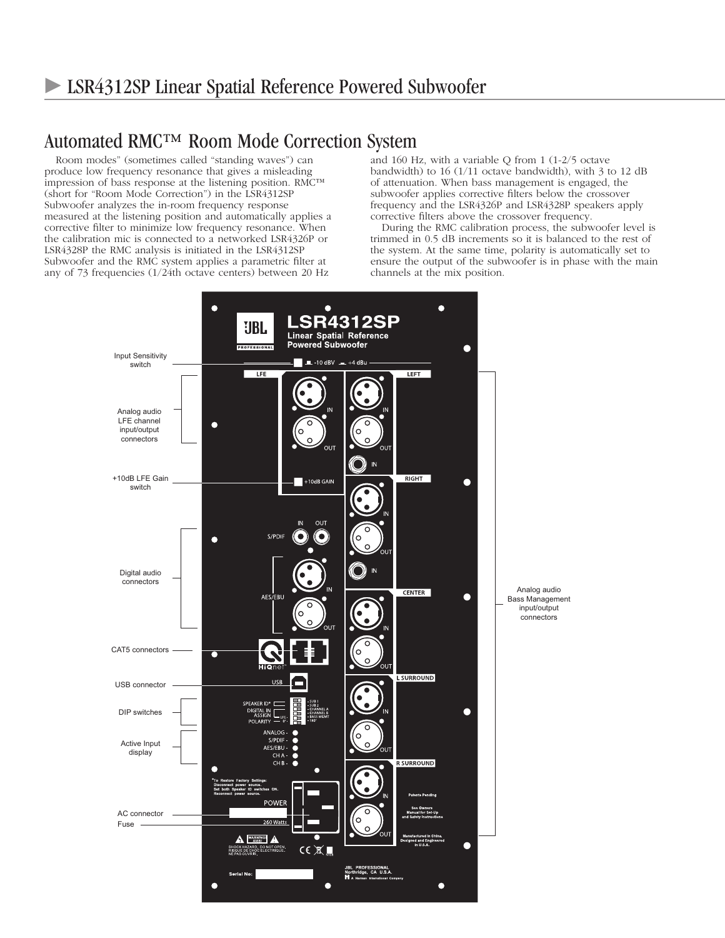### Automated RMC™ Room Mode Correction System

Room modes" (sometimes called "standing waves") can produce low frequency resonance that gives a misleading impression of bass response at the listening position. RMC™ (short for "Room Mode Correction") in the LSR4312SP Subwoofer analyzes the in-room frequency response measured at the listening position and automatically applies a corrective filter to minimize low frequency resonance. When the calibration mic is connected to a networked LSR4326P or LSR4328P the RMC analysis is initiated in the LSR4312SP Subwoofer and the RMC system applies a parametric filter at any of 73 frequencies (1/24th octave centers) between 20 Hz

and 160 Hz, with a variable Q from 1 (1-2/5 octave bandwidth) to 16 (1/11 octave bandwidth), with 3 to 12 dB of attenuation. When bass management is engaged, the subwoofer applies corrective filters below the crossover frequency and the LSR4326P and LSR4328P speakers apply corrective filters above the crossover frequency.

During the RMC calibration process, the subwoofer level is trimmed in 0.5 dB increments so it is balanced to the rest of the system. At the same time, polarity is automatically set to ensure the output of the subwoofer is in phase with the main channels at the mix position.

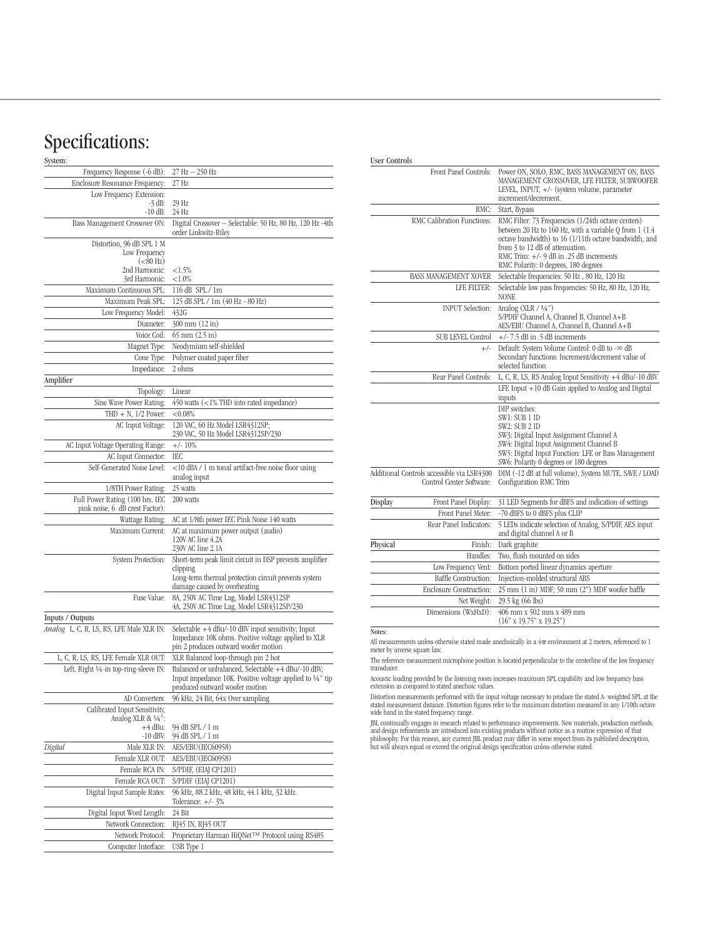## Specifications:

| System:                                            |                                                                                                                                                             |
|----------------------------------------------------|-------------------------------------------------------------------------------------------------------------------------------------------------------------|
| Frequency Response (-6 dB):                        | $27 Hz - 250 Hz$                                                                                                                                            |
| Enclosure Resonance Frequency:                     | 27 Hz                                                                                                                                                       |
| Low Frequency Extension:                           |                                                                                                                                                             |
| $-3$ dB:<br>$-10$ dB:                              | 29 Hz<br>24 Hz                                                                                                                                              |
| Bass Management Crossover ON:                      | Digital Crossover - Selectable: 50 Hz, 80 Hz, 120 Hz -4th<br>order Linkwitz-Riley                                                                           |
| Distortion, 96 dB SPL 1 M                          |                                                                                                                                                             |
| Low Frequency                                      |                                                                                                                                                             |
| (< 80 Hz)<br>2nd Harmonic:                         | ${<}1.5\%$                                                                                                                                                  |
| 3rd Harmonic:                                      | ${<}1.0\%$                                                                                                                                                  |
| Maximum Continuous SPL:                            | 116 dB SPL / 1m                                                                                                                                             |
| Maximum Peak SPL:                                  | 125 dB SPL / 1m (40 Hz - 80 Hz)                                                                                                                             |
| Low Frequency Model:                               | 432G                                                                                                                                                        |
| Diameter:                                          | 300 mm (12 in)                                                                                                                                              |
| Voice Coil:                                        | 65 mm (2.5 in)                                                                                                                                              |
| Magnet Type:                                       | Neodymium self-shielded                                                                                                                                     |
| Cone Type:<br>Impedance:                           | Polymer coated paper fiber<br>2 ohms                                                                                                                        |
| Amplifier                                          |                                                                                                                                                             |
| Topology:                                          | Linear                                                                                                                                                      |
| Sine Wave Power Rating:                            | 450 watts (<1% THD into rated impedance)                                                                                                                    |
| THD $+ N$ , $1/2$ Power:                           | ${<}0.08%$                                                                                                                                                  |
| AC Input Voltage:                                  | 120 VAC, 60 Hz Model LSR4312SP;                                                                                                                             |
| AC Input Voltage Operating Range:                  | 230 VAC, 50 Hz Model LSR4312SP/230<br>$+/- 10%$                                                                                                             |
| AC Input Connector:                                | IEC                                                                                                                                                         |
| Self-Generated Noise Level:                        | <10 dBA / 1 m tonal artifact-free noise floor using                                                                                                         |
|                                                    | analog input                                                                                                                                                |
| 1/8TH Power Rating:                                | 25 watts                                                                                                                                                    |
| Full Power Rating (100 hrs. IEC                    | 200 watts                                                                                                                                                   |
| pink noise, 6 dB crest Factor):<br>Wattage Rating: | AC at 1/8th power IEC Pink Noise 140 watts                                                                                                                  |
| Maximum Current:                                   | AC at maximum power output (audio)                                                                                                                          |
|                                                    | 120V AC line 4.2A<br>230V AC line 2.1A                                                                                                                      |
| System Protection:                                 | Short-term peak limit circuit in DSP prevents amplifier<br>clipping<br>Long-term thermal protection circuit prevents system<br>damage caused by overheating |
| Fuse Value:                                        | 8A, 250V AC Time Lag, Model LSR4312SP                                                                                                                       |
|                                                    | 4A, 250V AC Time Lag, Model LSR4312SP/230                                                                                                                   |
| Inputs / Outputs                                   |                                                                                                                                                             |
| Analog L, C, R, LS, RS, LFE Male XLR IN:           | Selectable +4 dBu/-10 dBV input sensitivity; Input<br>Impedance 10K ohms. Positive voltage applied to XLR<br>pin 2 produces outward woofer motion           |
| L, C, R, LS, RS, LFE Female XLR OUT:               | XLR Balanced loop-through pin 2 hot                                                                                                                         |
| Left, Right 1⁄4-in top-ring-sleeve IN:             | Balanced or unbalanced, Selectable +4 dBu/-10 dBV;<br>Input impedance 10K. Positive voltage applied to 1/4" tip<br>produced outward woofer motion           |
| AD Converters:                                     | 96 kHz, 24 Bit, 64x Over sampling                                                                                                                           |
| Calibrated Input Sensitivity,                      |                                                                                                                                                             |
| Analog XLR & 1/4":<br>$+4$ dBu:                    | 94 dB SPL / 1 m                                                                                                                                             |
| $-10$ dBV:                                         | 94 dB SPL / 1 m                                                                                                                                             |
| Male XLR IN:<br>Digital                            | AES/EBU(IEC60958)                                                                                                                                           |
| Female XLR OUT:                                    | AES/EBU(IEC60958)                                                                                                                                           |
| Female RCA IN:                                     | S/PDIF, (EIAJ CP1201)                                                                                                                                       |
| Female RCA OUT:                                    | S/PDIF (EIAJ CP1201)                                                                                                                                        |
| Digital Input Sample Rates:                        | 96 kHz, 88.2 kHz, 48 kHz, 44.1 kHz, 32 kHz.<br>Tolerance: $+/- 3\%$                                                                                         |
| Digital Input Word Length:                         | 24 Bit                                                                                                                                                      |
| Network Connection:                                | RJ45 IN, RJ45 OUT                                                                                                                                           |
| Network Protocol:                                  | Proprietary Harman HiQNet™ Protocol using RS485                                                                                                             |
| Computer Interface:                                | USB Type 1                                                                                                                                                  |

| <b>User Controls</b>                                          |                                                                                      |                                                                                                                                                                                                                                                                                                  |
|---------------------------------------------------------------|--------------------------------------------------------------------------------------|--------------------------------------------------------------------------------------------------------------------------------------------------------------------------------------------------------------------------------------------------------------------------------------------------|
|                                                               | Front Panel Controls:                                                                | Power ON, SOLO, RMC, BASS MANAGEMENT ON, BASS<br>MANAGEMENT CROSSOVER, LFE FILTER, SUBWOOFER<br>LEVEL, INPUT, $+/-$ (system volume, parameter<br>increment/decrement.                                                                                                                            |
|                                                               | RMC:                                                                                 | Start, Bypass                                                                                                                                                                                                                                                                                    |
|                                                               | RMC Calibration Functions:                                                           | RMC Filter: 73 Frequencies (1/24th octave centers)<br>between 20 Hz to 160 Hz, with a variable $Q$ from 1 (1.4)<br>octave bandwidth) to 16 (1/11th octave bandwidth, and<br>from 3 to 12 dB of attenuation.<br>RMC Trim: $+/-$ 9 dB in .25 dB increments<br>RMC Polarity: 0 degrees, 180 degrees |
|                                                               | <b>BASS MANAGEMENT XOVER</b>                                                         | Selectable frequencies: 50 Hz, 80 Hz, 120 Hz                                                                                                                                                                                                                                                     |
|                                                               | LFE FILTER:                                                                          | Selectable low pass frequencies: 50 Hz, 80 Hz, 120 Hz,<br><b>NONE</b>                                                                                                                                                                                                                            |
| <b>INPUT</b> Selection:                                       |                                                                                      | Analog (XLR / 1/4")<br>S/PDIF Channel A, Channel B, Channel A+B<br>AES/EBU Channel A, Channel B, Channel A+B                                                                                                                                                                                     |
|                                                               | SUB LEVEL Control                                                                    | $+/- 7.5$ dB in .5 dB increments                                                                                                                                                                                                                                                                 |
|                                                               | $+/-$                                                                                | Default: System Volume Control: 0 dB to -∞ dB<br>Secondary functions: Increment/decrement value of<br>selected function                                                                                                                                                                          |
|                                                               | Rear Panel Controls:                                                                 | L, C, R, LS, RS Analog Input Sensitivity +4 dBu/-10 dBV                                                                                                                                                                                                                                          |
|                                                               |                                                                                      | LFE Input $+10$ dB Gain applied to Analog and Digital<br>inputs                                                                                                                                                                                                                                  |
|                                                               |                                                                                      | DIP switches:<br>SW1: SUB 1 ID<br>SW2: SUB 2 ID<br>SW3: Digital Input Assignment Channel A<br>SW4: Digital Input Assignment Channel B<br>SW5: Digital Input Function: LFE or Bass Management<br>SW6: Polarity 0 degrees or 180 degrees                                                           |
|                                                               | Additional Controls accessible via LSR4300<br>Control Center Software:               | DIM (-12 dB at full volume), System MUTE, SAVE / LOAD<br>Configuration RMC Trim                                                                                                                                                                                                                  |
| Display                                                       | Front Panel Display:                                                                 | 31 LED Segments for dBFS and indication of settings                                                                                                                                                                                                                                              |
| Front Panel Meter:<br>Rear Panel Indicators:                  | -70 dBFS to 0 dBFS plus CLIP                                                         |                                                                                                                                                                                                                                                                                                  |
|                                                               | 5 LEDs indicate selection of Analog, S/PDIF, AES input<br>and digital channel A or B |                                                                                                                                                                                                                                                                                                  |
| Physical<br>Finish:<br>Handles:<br>Low Frequency Vent:        |                                                                                      | Dark graphite                                                                                                                                                                                                                                                                                    |
|                                                               | Two, flush mounted on sides                                                          |                                                                                                                                                                                                                                                                                                  |
|                                                               | Bottom ported linear dynamics aperture                                               |                                                                                                                                                                                                                                                                                                  |
| <b>Baffle Construction:</b><br><b>Enclosure Construction:</b> |                                                                                      | Injection-molded structural ABS                                                                                                                                                                                                                                                                  |
|                                                               |                                                                                      | 25 mm (1 in) MDF; 50 mm (2") MDF woofer baffle                                                                                                                                                                                                                                                   |
| Net Weight:                                                   | 29.5 kg (66 lbs)                                                                     |                                                                                                                                                                                                                                                                                                  |
|                                                               | Dimensions (WxHxD):                                                                  | 406 mm x 502 mm x 489 mm<br>(16" x 19.75" x 19.25")                                                                                                                                                                                                                                              |

Notes:

All measurements unless otherwise stated made anechoically in a  $4\pi$  environment at 2 meters, referenced to 1 meter by inverse square law.

The reference measurement microphone position is located perpendicular to the centerline of the low frequency transducer.

Acoustic loading provided by the listening room increases maximum SPL capability and low frequency bass extension as compared to stated anechoic values.

Distortion measurements performed with the input voltage necessary to produce the stated A- weighted SPL at the stated measurement distance. Distortion figures refer to the maximum distortion measured in any 1/10th octave wide band in the stated frequency range.

JBL continually engages in research related to performance improvements. New materials, production methods, and design refinements are introduced into existing products without onclude include and design reductions and com